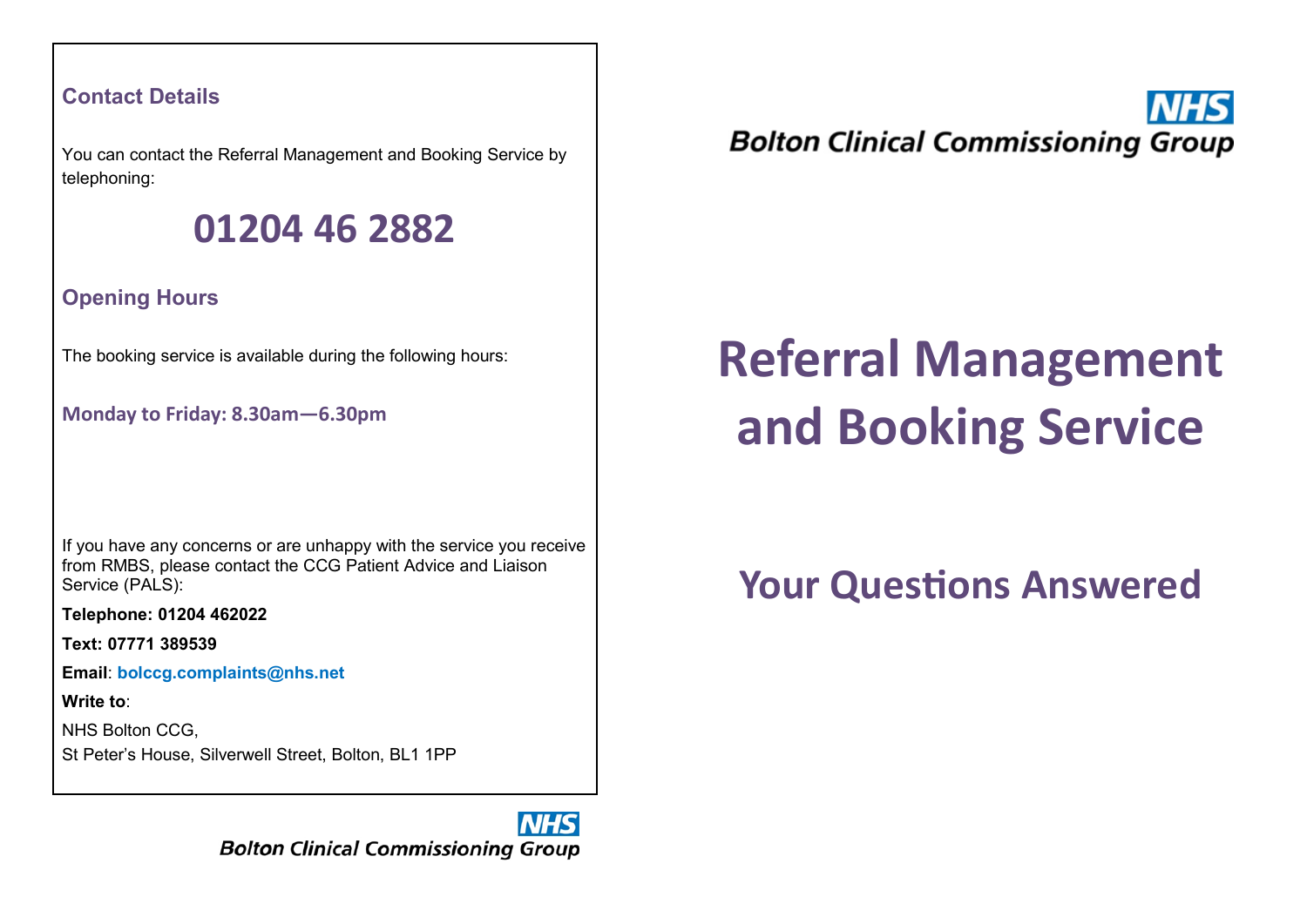#### **Contact Details**

You can contact the Referral Management and Booking Service by telephoning:

### **01204 46 2882**

**Opening Hours**

The booking service is available during the following hours:

**Monday to Friday: 8.30am—6.30pm**

If you have any concerns or are unhappy with the service you receive from RMBS, please contact the CCG Patient Advice and Liaison Service (PALS):

**Telephone: 01204 462022**

**Text: 07771 389539**

**Email**: **bolccg.complaints@nhs.net**

**Write to**:

NHS Bolton CCG,

St Peter's House, Silverwell Street, Bolton, BL1 1PP

NHS **Bolton Clinical Commissioning Group**  **Bolton Clinical Commissioning Group** 

# **Referral Management and Booking Service**

## **Your Questions Answered**